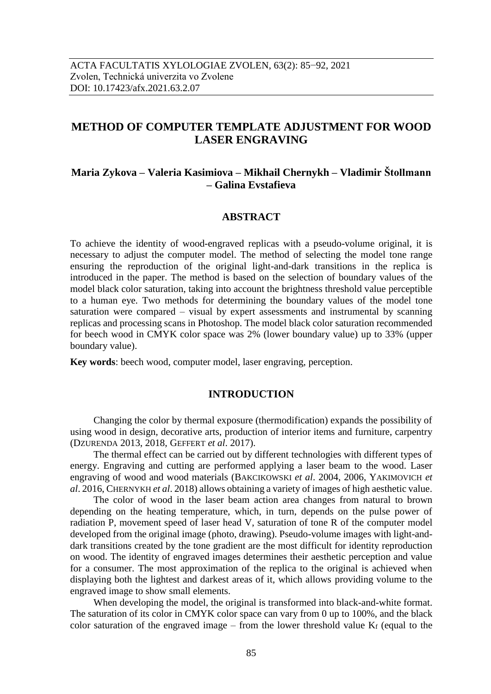# **METHOD OF COMPUTER TEMPLATE ADJUSTMENT FOR WOOD LASER ENGRAVING**

## **Maria Zykova – Valeria Kasimiova – Mikhail Chernykh – Vladimir Štollmann – Galina Evstafieva**

#### **ABSTRACT**

To achieve the identity of wood-engraved replicas with a pseudo-volume original, it is necessary to adjust the computer model. The method of selecting the model tone range ensuring the reproduction of the original light-and-dark transitions in the replica is introduced in the paper. The method is based on the selection of boundary values of the model black color saturation, taking into account the brightness threshold value perceptible to a human eye. Two methods for determining the boundary values of the model tone saturation were compared – visual by expert assessments and instrumental by scanning replicas and processing scans in Photoshop. The model black color saturation recommended for beech wood in CMYK color space was 2% (lower boundary value) up to 33% (upper boundary value).

**Key words**: beech wood, computer model, laser engraving, perception.

### **INTRODUCTION**

Changing the color by thermal exposure (thermodification) expands the possibility of using wood in design, decorative arts, production of interior items and furniture, carpentry (DZURENDA 2013, 2018, GEFFERT *et al*. 2017).

The thermal effect can be carried out by different technologies with different types of energy. Engraving and cutting are performed applying a laser beam to the wood. Laser engraving of wood and wood materials (BAKCIKOWSKI *et al*. 2004, 2006, YAKIMOVICH *et al*. 2016, CHERNYKH *et al*. 2018) allows obtaining a variety of images of high aesthetic value.

The color of wood in the laser beam action area changes from natural to brown depending on the heating temperature, which, in turn, depends on the pulse power of radiation P, movement speed of laser head V, saturation of tone R of the computer model developed from the original image (photo, drawing). Pseudo-volume images with light-anddark transitions created by the tone gradient are the most difficult for identity reproduction on wood. The identity of engraved images determines their aesthetic perception and value for a consumer. The most approximation of the replica to the original is achieved when displaying both the lightest and darkest areas of it, which allows providing volume to the engraved image to show small elements.

When developing the model, the original is transformed into black-and-white format. The saturation of its color in CMYK color space can vary from 0 up to 100%, and the black color saturation of the engraved image – from the lower threshold value  $K_f$  (equal to the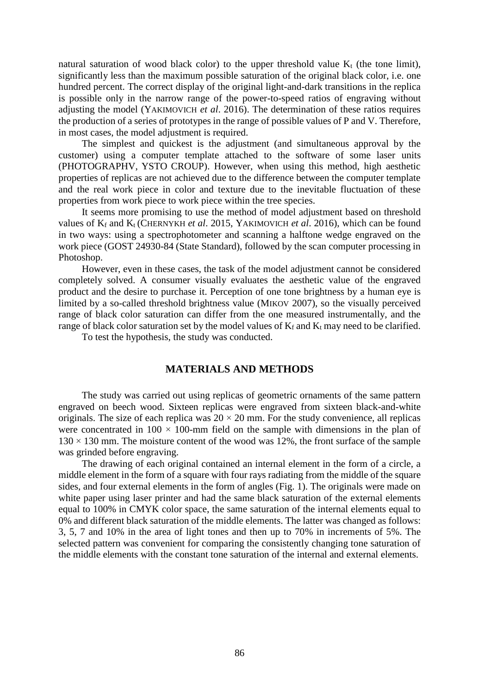natural saturation of wood black color) to the upper threshold value  $K_t$  (the tone limit), significantly less than the maximum possible saturation of the original black color, i.e. one hundred percent. The correct display of the original light-and-dark transitions in the replica is possible only in the narrow range of the power-to-speed ratios of engraving without adjusting the model (YAKIMOVICH *et al*. 2016). The determination of these ratios requires the production of a series of prototypes in the range of possible values of P and V. Therefore, in most cases, the model adjustment is required.

The simplest and quickest is the adjustment (and simultaneous approval by the customer) using a computer template attached to the software of some laser units (PHOTOGRAPHV, YSTO CROUP). However, when using this method, high aesthetic properties of replicas are not achieved due to the difference between the computer template and the real work piece in color and texture due to the inevitable fluctuation of these properties from work piece to work piece within the tree species.

It seems more promising to use the method of model adjustment based on threshold values of K<sup>f</sup> and Kt (CHERNYKH *et al*. 2015, YAKIMOVICH *et al*. 2016), which can be found in two ways: using a spectrophotometer and scanning a halftone wedge engraved on the work piece (GOST 24930-84 (State Standard), followed by the scan computer processing in Photoshop.

However, even in these cases, the task of the model adjustment cannot be considered completely solved. A consumer visually evaluates the aesthetic value of the engraved product and the desire to purchase it. Perception of one tone brightness by a human eye is limited by a so-called threshold brightness value (MIKOV 2007), so the visually perceived range of black color saturation can differ from the one measured instrumentally, and the range of black color saturation set by the model values of  $K_f$  and  $K_t$  may need to be clarified.

To test the hypothesis, the study was conducted.

#### **MATERIALS AND METHODS**

The study was carried out using replicas of geometric ornaments of the same pattern engraved on beech wood. Sixteen replicas were engraved from sixteen black-and-white originals. The size of each replica was  $20 \times 20$  mm. For the study convenience, all replicas were concentrated in  $100 \times 100$ -mm field on the sample with dimensions in the plan of  $130 \times 130$  mm. The moisture content of the wood was 12%, the front surface of the sample was grinded before engraving.

The drawing of each original contained an internal element in the form of a circle, a middle element in the form of a square with four rays radiating from the middle of the square sides, and four external elements in the form of angles (Fig. 1). The originals were made on white paper using laser printer and had the same black saturation of the external elements equal to 100% in CMYK color space, the same saturation of the internal elements equal to 0% and different black saturation of the middle elements. The latter was changed as follows: 3, 5, 7 and 10% in the area of light tones and then up to 70% in increments of 5%. The selected pattern was convenient for comparing the consistently changing tone saturation of the middle elements with the constant tone saturation of the internal and external elements.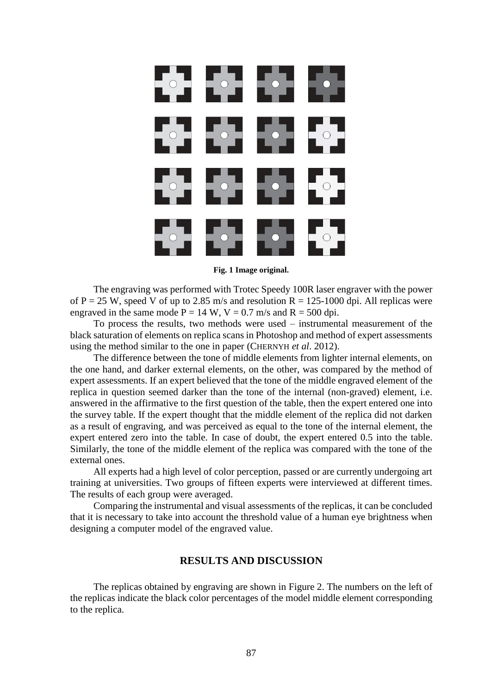

**Fig. 1 Image original.**

The engraving was performed with Trotec Speedy 100R laser engraver with the power of P = 25 W, speed V of up to 2.85 m/s and resolution R = 125-1000 dpi. All replicas were engraved in the same mode  $P = 14$  W,  $V = 0.7$  m/s and  $R = 500$  dpi.

To process the results, two methods were used – instrumental measurement of the black saturation of elements on replica scans in Photoshop and method of expert assessments using the method similar to the one in paper (CHERNYH *et al*. 2012).

The difference between the tone of middle elements from lighter internal elements, on the one hand, and darker external elements, on the other, was compared by the method of expert assessments. If an expert believed that the tone of the middle engraved element of the replica in question seemed darker than the tone of the internal (non-graved) element, i.e. answered in the affirmative to the first question of the table, then the expert entered one into the survey table. If the expert thought that the middle element of the replica did not darken as a result of engraving, and was perceived as equal to the tone of the internal element, the expert entered zero into the table. In case of doubt, the expert entered 0.5 into the table. Similarly, the tone of the middle element of the replica was compared with the tone of the external ones.

All experts had a high level of color perception, passed or are currently undergoing art training at universities. Two groups of fifteen experts were interviewed at different times. The results of each group were averaged.

Comparing the instrumental and visual assessments of the replicas, it can be concluded that it is necessary to take into account the threshold value of a human eye brightness when designing a computer model of the engraved value.

### **RESULTS AND DISCUSSION**

The replicas obtained by engraving are shown in Figure 2. The numbers on the left of the replicas indicate the black color percentages of the model middle element corresponding to the replica.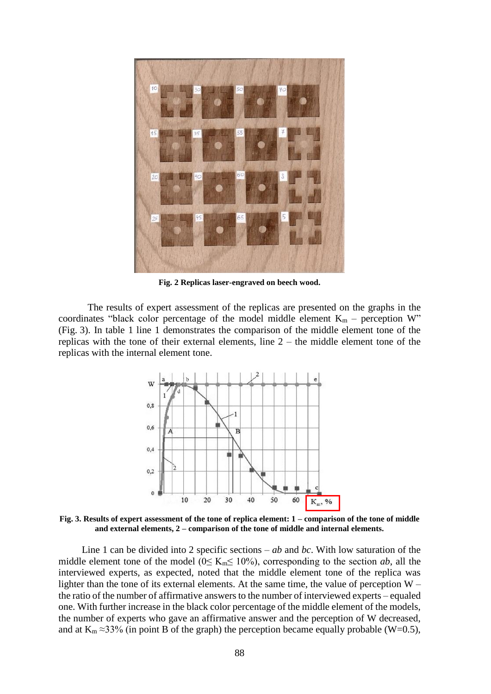

**Fig. 2 Replicas laser-engraved on beech wood.**

The results of expert assessment of the replicas are presented on the graphs in the coordinates "black color percentage of the model middle element  $K_m$  – perception W" (Fig. 3). In table 1 line 1 demonstrates the comparison of the middle element tone of the replicas with the tone of their external elements, line  $2 -$  the middle element tone of the replicas with the internal element tone.



**Fig. 3. Results of expert assessment of the tone of replica element: 1 – comparison of the tone of middle and external elements, 2 – comparison of the tone of middle and internal elements.**

Line 1 can be divided into 2 specific sections – *ab* and *bc*. With low saturation of the middle element tone of the model ( $0 \leq K_m \leq 10\%$ ), corresponding to the section *ab*, all the interviewed experts, as expected, noted that the middle element tone of the replica was lighter than the tone of its external elements. At the same time, the value of perception  $W$ the ratio of the number of affirmative answers to the number of interviewed experts – equaled one. With further increase in the black color percentage of the middle element of the models, the number of experts who gave an affirmative answer and the perception of W decreased, and at  $K_m \approx 33\%$  (in point B of the graph) the perception became equally probable (W=0.5),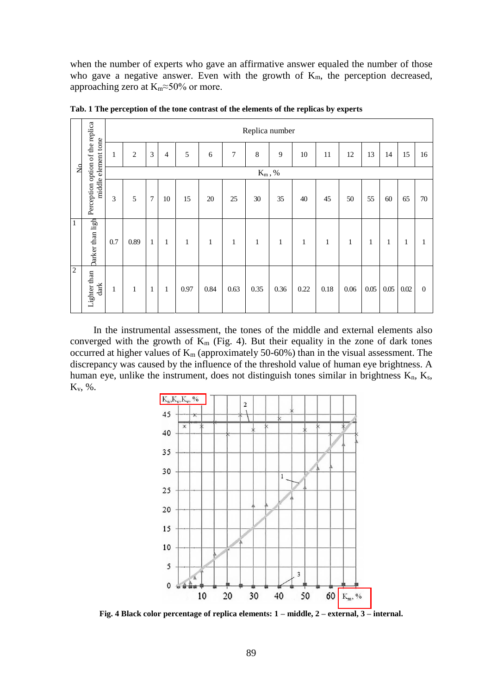when the number of experts who gave an affirmative answer equaled the number of those who gave a negative answer. Even with the growth of  $K_m$ , the perception decreased, approaching zero at  $K_m \approx 50\%$  or more.

| $\overline{a}$ | Perception option of the replica<br>middle element tone | Replica number |                |                |                |              |              |              |              |              |              |              |              |      |              |              |                |
|----------------|---------------------------------------------------------|----------------|----------------|----------------|----------------|--------------|--------------|--------------|--------------|--------------|--------------|--------------|--------------|------|--------------|--------------|----------------|
|                |                                                         | 1              | $\overline{2}$ | $\mathfrak{Z}$ | $\overline{4}$ | 5            | 6            | 7            | $\,8\,$      | 9            | 10           | 11           | 12           | 13   | 14           | 15           | 16             |
|                |                                                         | $K_m, %$       |                |                |                |              |              |              |              |              |              |              |              |      |              |              |                |
|                |                                                         | 3              | 5              | $\overline{7}$ | $10\,$         | 15           | 20           | $25\,$       | $30\,$       | 35           | 40           | 45           | $50\,$       | 55   | 60           | 65           | 70             |
| $\overline{1}$ | Darker than ligh                                        | 0.7            | 0.89           | $\mathbf{1}$   | $\mathbf{1}$   | $\mathbf{1}$ | $\mathbf{1}$ | $\mathbf{1}$ | $\mathbf{1}$ | $\mathbf{1}$ | $\mathbf{1}$ | $\mathbf{1}$ | $\mathbf{1}$ | 1    | $\mathbf{1}$ | $\mathbf{1}$ | 1              |
| $\overline{c}$ | Lighter than<br>dark                                    | 1              | $\mathbf{1}$   | $\mathbf{1}$   | $\mathbf{1}$   | 0.97         | 0.84         | 0.63         | 0.35         | 0.36         | 0.22         | $0.18\,$     | 0.06         | 0.05 | $0.05\,$     | $0.02\,$     | $\overline{0}$ |

**Tab. 1 The perception of the tone contrast of the elements of the replicas by experts**

In the instrumental assessment, the tones of the middle and external elements also converged with the growth of  $K_m$  (Fig. 4). But their equality in the zone of dark tones occurred at higher values of  $K_m$  (approximately 50-60%) than in the visual assessment. The discrepancy was caused by the influence of the threshold value of human eye brightness. A human eye, unlike the instrument, does not distinguish tones similar in brightness  $K_n$ ,  $K_s$ , Kv, %.



**Fig. 4 Black color percentage of replica elements: 1 – middle, 2 – external, 3 – internal.**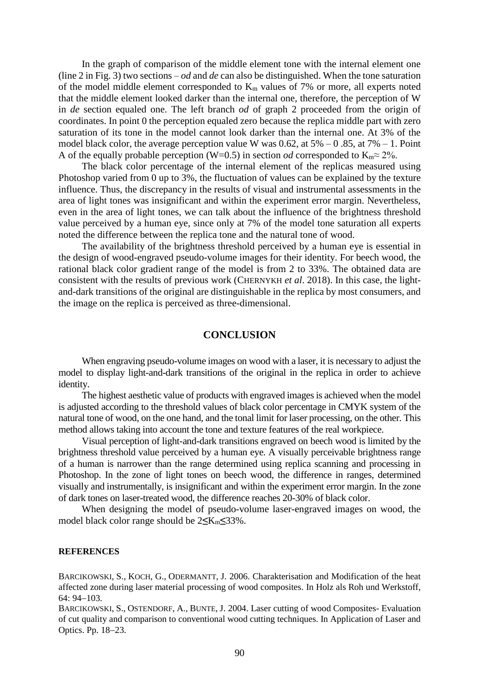In the graph of comparison of the middle element tone with the internal element one (line 2 in Fig. 3) two sections – *od* and *de* can also be distinguished. When the tone saturation of the model middle element corresponded to  $K<sub>m</sub>$  values of 7% or more, all experts noted that the middle element looked darker than the internal one, therefore, the perception of W in *de* section equaled one. The left branch *od* of graph 2 proceeded from the origin of coordinates. In point 0 the perception equaled zero because the replica middle part with zero saturation of its tone in the model cannot look darker than the internal one. At 3% of the model black color, the average perception value W was  $0.62$ , at  $5\% - 0.85$ , at  $7\% - 1$ . Point A of the equally probable perception (W=0.5) in section *od* corresponded to  $K_m \approx 2\%$ .

The black color percentage of the internal element of the replicas measured using Photoshop varied from 0 up to 3%, the fluctuation of values can be explained by the texture influence. Thus, the discrepancy in the results of visual and instrumental assessments in the area of light tones was insignificant and within the experiment error margin. Nevertheless, even in the area of light tones, we can talk about the influence of the brightness threshold value perceived by a human eye, since only at 7% of the model tone saturation all experts noted the difference between the replica tone and the natural tone of wood.

The availability of the brightness threshold perceived by a human eye is essential in the design of wood-engraved pseudo-volume images for their identity. For beech wood, the rational black color gradient range of the model is from 2 to 33%. The obtained data are consistent with the results of previous work (CHERNYKH *et al*. 2018). In this case, the lightand-dark transitions of the original are distinguishable in the replica by most consumers, and the image on the replica is perceived as three-dimensional.

#### **CONCLUSION**

When engraving pseudo-volume images on wood with a laser, it is necessary to adjust the model to display light-and-dark transitions of the original in the replica in order to achieve identity.

The highest aesthetic value of products with engraved images is achieved when the model is adjusted according to the threshold values of black color percentage in CMYK system of the natural tone of wood, on the one hand, and the tonal limit for laser processing, on the other. This method allows taking into account the tone and texture features of the real workpiece.

Visual perception of light-and-dark transitions engraved on beech wood is limited by the brightness threshold value perceived by a human eye. A visually perceivable brightness range of a human is narrower than the range determined using replica scanning and processing in Photoshop. In the zone of light tones on beech wood, the difference in ranges, determined visually and instrumentally, is insignificant and within the experiment error margin. In the zone of dark tones on laser-treated wood, the difference reaches 20-30% of black color.

When designing the model of pseudo-volume laser-engraved images on wood, the model black color range should be 2**≤**Km**≤**33%.

#### **REFERENCES**

BARCIKOWSKI, S., KOCH, G., ODERMANTT, J. 2006. Charakterisation and Modification of the heat affected zone during laser material processing of wood composites. In Holz als Roh und Werkstoff, 64: 94-103.

BARCIKOWSKI, S., OSTENDORF, A., BUNTE, J. 2004. Laser cutting of wood Composites- Evaluation of cut quality and comparison to conventional wood cutting techniques. In Application of Laser and Optics. Pp. 18-23.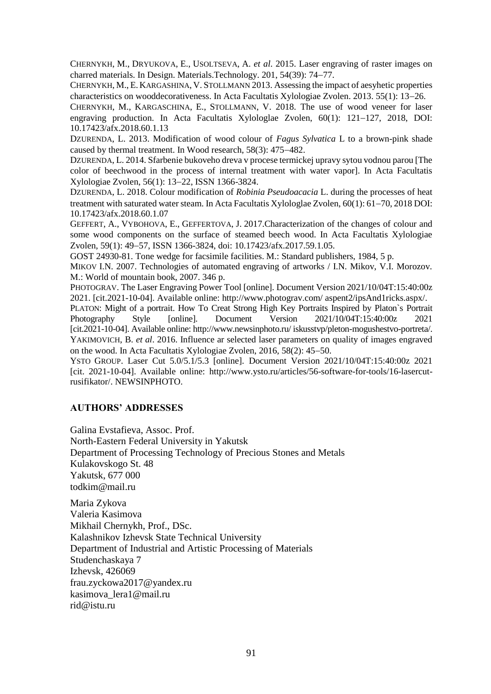CHERNYKH, M., DRYUKOVA, E., USOLTSEVA, A. *et al*. 2015. Laser engraving of raster images on charred materials. In Design. Materials.Technology. 201, 54(39): 74–77.

CHERNYKH, M., E.KARGASHINA, V. STOLLMANN 2013. Assessing the impact of aesyhetic properties characteristics on wooddecorativeness. In Acta Facultatis Xylologiae Zvolen. 2013. 55(1): 13–26.

CHERNYKH, M., KARGASCHINA, E., STOLLMANN, V. 2018. The use of wood veneer for laser engraving production. In Acta Facultatis Xylologlae Zvolen,  $60(1)$ :  $121-127$ ,  $2018$ , DOI: 10.17423/afx.2018.60.1.13

DZURENDA, L. 2013. Modification of wood colour of *Fagus Sylvatica* L to a brown-pink shade caused by thermal treatment. In Wood research, 58(3): 475-482.

DZURENDA, L. 2014. Sfarbenie bukoveho dreva v procese termickej upravy sytou vodnou parou [The color of beechwood in the process of internal treatment with water vapor]. In Acta Facultatis Xylologiae Zvolen, 56(1): 13–22, ISSN 1366-3824.

DZURENDA, L. 2018. Colour modification of *Robinia Pseudoacacia* L. during the processes of heat treatment with saturated water steam. In Acta Facultatis Xylologlae Zvolen, 60(1): 61-70, 2018 DOI: 10.17423/afx.2018.60.1.07

GEFFERT, A., VYBOHOVA, E., GEFFERTOVA, J. 2017.Characterization of the changes of colour and some wood components on the surface of steamed beech wood. In Acta Facultatis Xylologiae Zvolen, 59(1): 49–57, ISSN 1366-3824, doi: 10.17423/afx.2017.59.1.05.

GOST 24930-81. Tone wedge for facsimile facilities. M.: Standard publishers, 1984, 5 p.

MIKOV I.N. 2007. Technologies of automated engraving of artworks / I.N. Mikov, V.I. Morozov. М.: World of mountain book, 2007. 346 p.

PHOTOGRAV. The Laser Engraving Power Tool [online]. Document Version 2021/10/04T:15:40:00z 2021. [cit.2021-10-04]. Available online: http://www.photograv.com/ aspent2/ipsAnd1ricks.aspx/.

PLATON: Might of a portrait. How To Creat Strong High Key Portraits Inspired by Platon`s Portrait Photography Style [online]. Document Version 2021/10/04T:15:40:00z 2021 [cit.2021-10-04]. Available online: http://www.newsinphoto.ru/ iskusstvp/pleton-mogushestvo-portreta/. YAKIMOVICH, B. *et al*. 2016. Influence ar selected laser parameters on quality of images engraved on the wood. In Acta Facultatis Xylologiae Zyolen,  $2016$ ,  $58(2)$ :  $45-50$ .

YSTO GROUP. Laser Cut 5.0/5.1/5.3 [online]. Document Version 2021/10/04T:15:40:00z 2021 [cit. 2021-10-04]. Available online: [http://www.](http://www/)ysto.ru/articles/56-software-for-tools/16-lasercutrusifikator/. NEWSINPHOTO.

### **AUTHORS' ADDRESSES**

Galina Evstafieva, Assoc. Prof. North-Eastern Federal University in Yakutsk Department of Processing Technology of Precious Stones and Metals Kulakovskogo St. 48 Yakutsk, 677 000 todkim@mail.ru

Maria Zykova Valeria Kasimova Mikhail Chernykh, Prof., DSc. Kalashnikov Izhevsk State Technical University Department of Industrial and Artistic Processing of Materials Studenchaskaya 7 Izhevsk, 426069 [frau.zyckowa2017@yandex.ru](mailto:frau.zyckowa2017@yandex.ru) [kasimova\\_lera1@mail.ru](mailto:kasimova_lera1@mail.ru) [rid@istu.ru](mailto:rid@istu.ru)